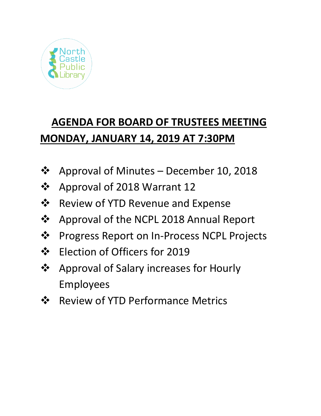

# **AGENDA FOR BOARD OF TRUSTEES MEETING MONDAY, JANUARY 14, 2019 AT 7:30PM**

- ❖ Approval of Minutes December 10, 2018
- ❖ Approval of 2018 Warrant 12
- ❖ Review of YTD Revenue and Expense
- ❖ Approval of the NCPL 2018 Annual Report
- ❖ Progress Report on In-Process NCPL Projects
- ❖ Election of Officers for 2019
- ❖ Approval of Salary increases for Hourly Employees
- ❖ Review of YTD Performance Metrics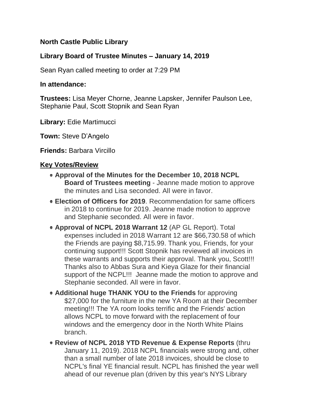# **North Castle Public Library**

# **Library Board of Trustee Minutes – January 14, 2019**

Sean Ryan called meeting to order at 7:29 PM

## **In attendance:**

**Trustees:** Lisa Meyer Chorne, Jeanne Lapsker, Jennifer Paulson Lee, Stephanie Paul, Scott Stopnik and Sean Ryan

**Library:** Edie Martimucci

**Town:** Steve D'Angelo

**Friends:** Barbara Vircillo

## **Key Votes/Review**

- **Approval of the Minutes for the December 10, 2018 NCPL Board of Trustees meeting** - Jeanne made motion to approve the minutes and Lisa seconded. All were in favor.
- **Election of Officers for 2019**. Recommendation for same officers in 2018 to continue for 2019. Jeanne made motion to approve and Stephanie seconded. All were in favor.
- **Approval of NCPL 2018 Warrant 12** (AP GL Report). Total expenses included in 2018 Warrant 12 are \$66,730.58 of which the Friends are paying \$8,715.99. Thank you, Friends, for your continuing support!!! Scott Stopnik has reviewed all invoices in these warrants and supports their approval. Thank you, Scott!!! Thanks also to Abbas Sura and Kieya Glaze for their financial support of the NCPL!!! Jeanne made the motion to approve and Stephanie seconded. All were in favor.
- **Additional huge THANK YOU to the Friends** for approving \$27,000 for the furniture in the new YA Room at their December meeting!!! The YA room looks terrific and the Friends' action allows NCPL to move forward with the replacement of four windows and the emergency door in the North White Plains branch.
- **Review of NCPL 2018 YTD Revenue & Expense Reports** (thru January 11, 2019). 2018 NCPL financials were strong and, other than a small number of late 2018 invoices, should be close to NCPL's final YE financial result. NCPL has finished the year well ahead of our revenue plan (driven by this year's NYS Library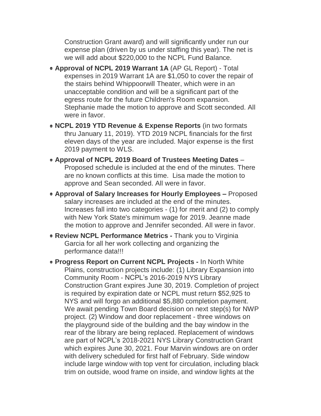Construction Grant award) and will significantly under run our expense plan (driven by us under staffing this year). The net is we will add about \$220,000 to the NCPL Fund Balance.

- **Approval of NCPL 2019 Warrant 1A** (AP GL Report) Total expenses in 2019 Warrant 1A are \$1,050 to cover the repair of the stairs behind Whippoorwill Theater, which were in an unacceptable condition and will be a significant part of the egress route for the future Children's Room expansion. Stephanie made the motion to approve and Scott seconded. All were in favor.
- **NCPL 2019 YTD Revenue & Expense Reports** (in two formats thru January 11, 2019). YTD 2019 NCPL financials for the first eleven days of the year are included. Major expense is the first 2019 payment to WLS.
- **Approval of NCPL 2019 Board of Trustees Meeting Dates** Proposed schedule is included at the end of the minutes. There are no known conflicts at this time. Lisa made the motion to approve and Sean seconded. All were in favor.
- **Approval of Salary Increases for Hourly Employees –** Proposed salary increases are included at the end of the minutes. Increases fall into two categories - (1) for merit and (2) to comply with New York State's minimum wage for 2019. Jeanne made the motion to approve and Jennifer seconded. All were in favor.
- **Review NCPL Performance Metrics -** Thank you to Virginia Garcia for all her work collecting and organizing the performance data!!!
- **Progress Report on Current NCPL Projects -** In North White Plains, construction projects include: (1) Library Expansion into Community Room - NCPL's 2016-2019 NYS Library Construction Grant expires June 30, 2019. Completion of project is required by expiration date or NCPL must return \$52,925 to NYS and will forgo an additional \$5,880 completion payment. We await pending Town Board decision on next step(s) for NWP project. (2) Window and door replacement - three windows on the playground side of the building and the bay window in the rear of the library are being replaced. Replacement of windows are part of NCPL's 2018-2021 NYS Library Construction Grant which expires June 30, 2021. Four Marvin windows are on order with delivery scheduled for first half of February. Side window include large window with top vent for circulation, including black trim on outside, wood frame on inside, and window lights at the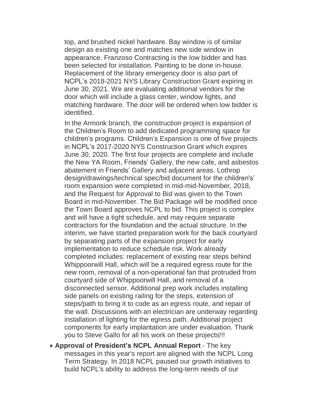top, and brushed nickel hardware. Bay window is of similar design as existing one and matches new side window in appearance. Franzoso Contracting is the low bidder and has been selected for installation. Painting to be done in-house. Replacement of the library emergency door is also part of NCPL's 2018-2021 NYS Library Construction Grant expiring in June 30, 2021. We are evaluating additional vendors for the door which will include a glass center, window lights, and matching hardware. The door will be ordered when low bidder is identified.

In the Armonk branch, the construction project is expansion of the Children's Room to add dedicated programming space for children's programs. Children's Expansion is one of five projects in NCPL's 2017-2020 NYS Construction Grant which expires June 30, 2020. The first four projects are complete and include the New YA Room, Friends' Gallery, the new cafe, and asbestos abatement in Friends' Gallery and adjacent areas. Lothrop design/drawings/technical spec/bid document for the children's' room expansion were completed in mid-mid-November, 2018, and the Request for Approval to Bid was given to the Town Board in mid-November. The Bid Package will be modified once the Town Board approves NCPL to bid. This project is complex and will have a tight schedule, and may require separate contractors for the foundation and the actual structure. In the interim, we have started preparation work for the back courtyard by separating parts of the expansion project for early implementation to reduce schedule risk. Work already completed includes: replacement of existing rear steps behind Whippoorwill Hall, which will be a required egress route for the new room, removal of a non-operational fan that protruded from courtyard side of Whippoorwill Hall, and removal of a disconnected sensor. Additional prep work includes installing side panels on existing railing for the steps, extension of steps/path to bring it to code as an egress route, and repair of the wall. Discussions with an electrician are underway regarding installation of lighting for the egress path. Additional project components for early implantation are under evaluation. Thank you to Steve Gallo for all his work on these projects!!!

**Approval of President's NCPL Annual Report** - The key messages in this year's report are aligned with the NCPL Long Term Strategy. In 2018 NCPL paused our growth initiatives to build NCPL's ability to address the long-term needs of our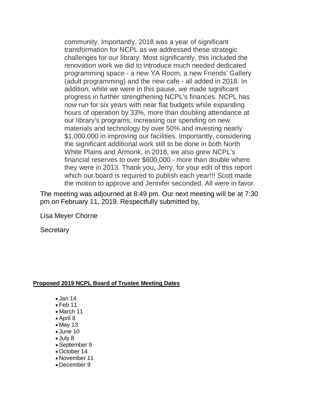community. Importantly, 2018 was a year of significant transformation for NCPL as we addressed these strategic challenges for our library. Most significantly, this included the renovation work we did to introduce much needed dedicated programming space - a new YA Room, a new Friends' Gallery (adult programming) and the new cafe - all added in 2018. In addition, while we were in this pause, we made significant progress in further strengthening NCPL's finances. NCPL has now run for six years with near flat budgets while expanding hours of operation by 33%, more than doubling attendance at our library's programs, increasing our spending on new materials and technology by over 50% and investing nearly \$1,000,000 in improving our facilities. Importantly, considering the significant additional work still to be done in both North White Plains and Armonk, in 2018, we also grew NCPL's financial reserves to over \$600,000 - more than double where they were in 2013. Thank you, Jerry, for your edit of this report which our board is required to publish each year!!! Scott made the motion to approve and Jennifer seconded. All were in favor.

The meeting was adjourned at 8:49 pm. Our next meeting will be at 7:30 pm on February 11, 2019. Respectfully submitted by,

Lisa Meyer Chorne

**Secretary** 

#### **Proposed 2019 NCPL Board of Trustee Meeting Dates**

- Jan 14
- $\bullet$  Feb 11
- March 11
- April 8
- May 13
- June 10
- July 8
- September 9
- October 14
- November 11
- December 9